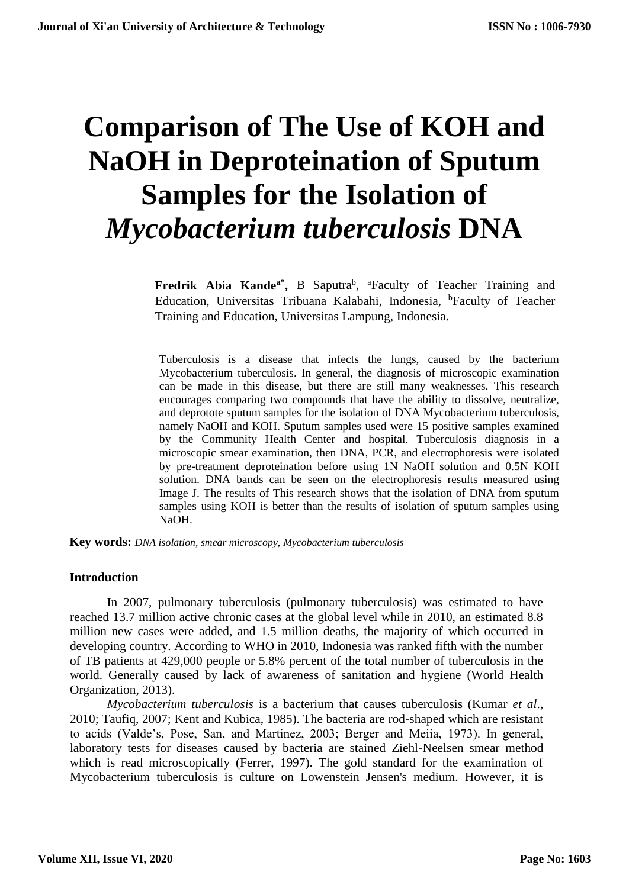# **Comparison of The Use of KOH and NaOH in Deproteination of Sputum Samples for the Isolation of**  *Mycobacterium tuberculosis* **DNA**

**Fredrik Abia Kande<sup>a\*</sup>**, B Saputra<sup>b</sup>, <sup>a</sup>Faculty of Teacher Training and Education, Universitas Tribuana Kalabahi, Indonesia, <sup>b</sup>Faculty of Teacher Training and Education, Universitas Lampung, Indonesia.

Tuberculosis is a disease that infects the lungs, caused by the bacterium Mycobacterium tuberculosis. In general, the diagnosis of microscopic examination can be made in this disease, but there are still many weaknesses. This research encourages comparing two compounds that have the ability to dissolve, neutralize, and deprotote sputum samples for the isolation of DNA Mycobacterium tuberculosis, namely NaOH and KOH. Sputum samples used were 15 positive samples examined by the Community Health Center and hospital. Tuberculosis diagnosis in a microscopic smear examination, then DNA, PCR, and electrophoresis were isolated by pre-treatment deproteination before using 1N NaOH solution and 0.5N KOH solution. DNA bands can be seen on the electrophoresis results measured using Image J. The results of This research shows that the isolation of DNA from sputum samples using KOH is better than the results of isolation of sputum samples using NaOH.

**Key words:** *DNA isolation, smear microscopy, Mycobacterium tuberculosis*

#### **Introduction**

In 2007, pulmonary tuberculosis (pulmonary tuberculosis) was estimated to have reached 13.7 million active chronic cases at the global level while in 2010, an estimated 8.8 million new cases were added, and 1.5 million deaths, the majority of which occurred in developing country. According to WHO in 2010, Indonesia was ranked fifth with the number of TB patients at 429,000 people or 5.8% percent of the total number of tuberculosis in the world. Generally caused by lack of awareness of sanitation and hygiene (World Health Organization, 2013).

*Mycobacterium tuberculosis* is a bacterium that causes tuberculosis (Kumar *et al*., 2010; Taufiq, 2007; Kent and Kubica, 1985). The bacteria are rod-shaped which are resistant to acids (Valde's, Pose, San, and Martinez, 2003; Berger and Meiia, 1973). In general, laboratory tests for diseases caused by bacteria are stained Ziehl-Neelsen smear method which is read microscopically (Ferrer, 1997). The gold standard for the examination of Mycobacterium tuberculosis is culture on Lowenstein Jensen's medium. However, it is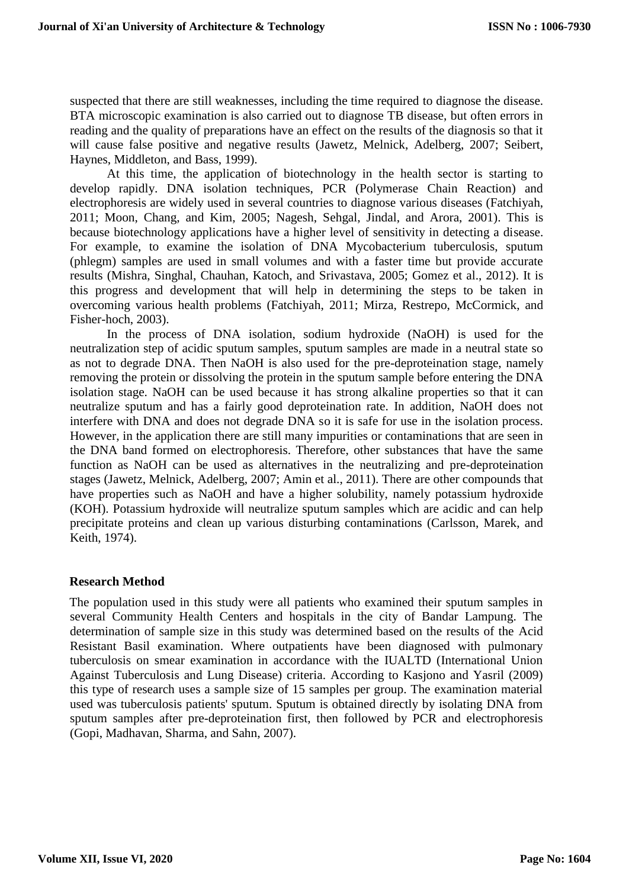suspected that there are still weaknesses, including the time required to diagnose the disease. BTA microscopic examination is also carried out to diagnose TB disease, but often errors in reading and the quality of preparations have an effect on the results of the diagnosis so that it will cause false positive and negative results (Jawetz, Melnick, Adelberg, 2007; Seibert, Haynes, Middleton, and Bass, 1999).

At this time, the application of biotechnology in the health sector is starting to develop rapidly. DNA isolation techniques, PCR (Polymerase Chain Reaction) and electrophoresis are widely used in several countries to diagnose various diseases (Fatchiyah, 2011; Moon, Chang, and Kim, 2005; Nagesh, Sehgal, Jindal, and Arora, 2001). This is because biotechnology applications have a higher level of sensitivity in detecting a disease. For example, to examine the isolation of DNA Mycobacterium tuberculosis, sputum (phlegm) samples are used in small volumes and with a faster time but provide accurate results (Mishra, Singhal, Chauhan, Katoch, and Srivastava, 2005; Gomez et al., 2012). It is this progress and development that will help in determining the steps to be taken in overcoming various health problems (Fatchiyah, 2011; Mirza, Restrepo, McCormick, and Fisher-hoch, 2003).

In the process of DNA isolation, sodium hydroxide (NaOH) is used for the neutralization step of acidic sputum samples, sputum samples are made in a neutral state so as not to degrade DNA. Then NaOH is also used for the pre-deproteination stage, namely removing the protein or dissolving the protein in the sputum sample before entering the DNA isolation stage. NaOH can be used because it has strong alkaline properties so that it can neutralize sputum and has a fairly good deproteination rate. In addition, NaOH does not interfere with DNA and does not degrade DNA so it is safe for use in the isolation process. However, in the application there are still many impurities or contaminations that are seen in the DNA band formed on electrophoresis. Therefore, other substances that have the same function as NaOH can be used as alternatives in the neutralizing and pre-deproteination stages (Jawetz, Melnick, Adelberg, 2007; Amin et al., 2011). There are other compounds that have properties such as NaOH and have a higher solubility, namely potassium hydroxide (KOH). Potassium hydroxide will neutralize sputum samples which are acidic and can help precipitate proteins and clean up various disturbing contaminations (Carlsson, Marek, and Keith, 1974).

## **Research Method**

The population used in this study were all patients who examined their sputum samples in several Community Health Centers and hospitals in the city of Bandar Lampung. The determination of sample size in this study was determined based on the results of the Acid Resistant Basil examination. Where outpatients have been diagnosed with pulmonary tuberculosis on smear examination in accordance with the IUALTD (International Union Against Tuberculosis and Lung Disease) criteria. According to Kasjono and Yasril (2009) this type of research uses a sample size of 15 samples per group. The examination material used was tuberculosis patients' sputum. Sputum is obtained directly by isolating DNA from sputum samples after pre-deproteination first, then followed by PCR and electrophoresis (Gopi, Madhavan, Sharma, and Sahn, 2007).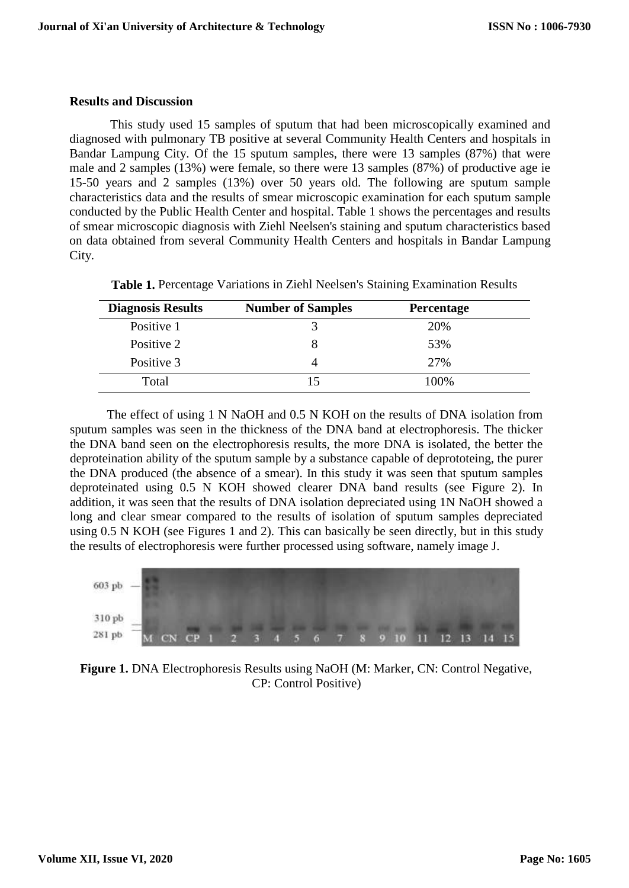### **Results and Discussion**

This study used 15 samples of sputum that had been microscopically examined and diagnosed with pulmonary TB positive at several Community Health Centers and hospitals in Bandar Lampung City. Of the 15 sputum samples, there were 13 samples (87%) that were male and 2 samples (13%) were female, so there were 13 samples (87%) of productive age ie 15-50 years and 2 samples (13%) over 50 years old. The following are sputum sample characteristics data and the results of smear microscopic examination for each sputum sample conducted by the Public Health Center and hospital. Table 1 shows the percentages and results of smear microscopic diagnosis with Ziehl Neelsen's staining and sputum characteristics based on data obtained from several Community Health Centers and hospitals in Bandar Lampung City.

| <b>Diagnosis Results</b> | <b>Number of Samples</b> | Percentage |  |
|--------------------------|--------------------------|------------|--|
| Positive 1               |                          | 20%        |  |
| Positive 2               |                          | 53%        |  |
| Positive 3               |                          | 27%        |  |
| Total                    |                          | 100%       |  |

**Table 1.** Percentage Variations in Ziehl Neelsen's Staining Examination Results

The effect of using 1 N NaOH and 0.5 N KOH on the results of DNA isolation from sputum samples was seen in the thickness of the DNA band at electrophoresis. The thicker the DNA band seen on the electrophoresis results, the more DNA is isolated, the better the deproteination ability of the sputum sample by a substance capable of deprototeing, the purer the DNA produced (the absence of a smear). In this study it was seen that sputum samples deproteinated using 0.5 N KOH showed clearer DNA band results (see Figure 2). In addition, it was seen that the results of DNA isolation depreciated using 1N NaOH showed a long and clear smear compared to the results of isolation of sputum samples depreciated using 0.5 N KOH (see Figures 1 and 2). This can basically be seen directly, but in this study the results of electrophoresis were further processed using software, namely image J.



**Figure 1.** DNA Electrophoresis Results using NaOH (M: Marker, CN: Control Negative, CP: Control Positive)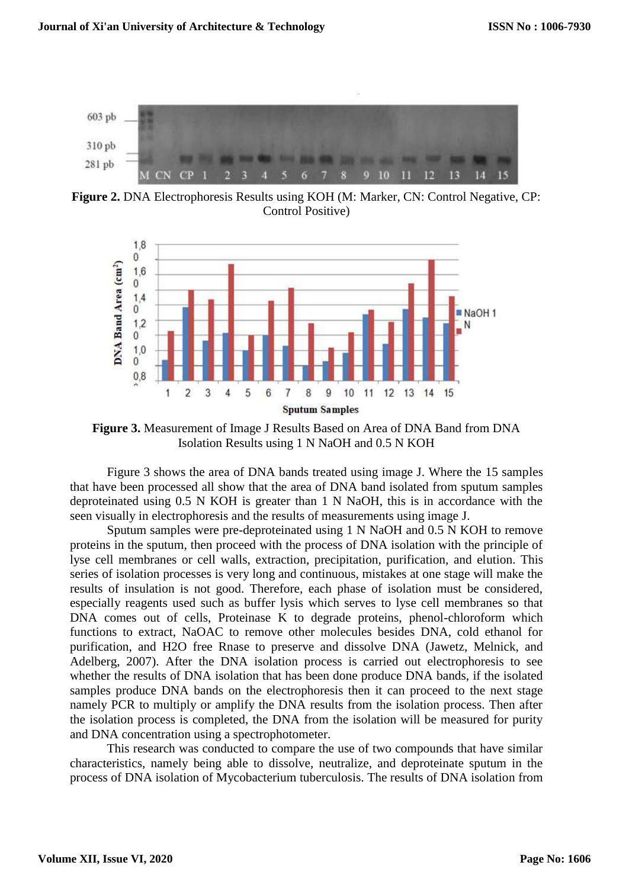

**Figure 2.** DNA Electrophoresis Results using KOH (M: Marker, CN: Control Negative, CP: Control Positive)



**Figure 3.** Measurement of Image J Results Based on Area of DNA Band from DNA Isolation Results using 1 N NaOH and 0.5 N KOH

Figure 3 shows the area of DNA bands treated using image J. Where the 15 samples that have been processed all show that the area of DNA band isolated from sputum samples deproteinated using 0.5 N KOH is greater than 1 N NaOH, this is in accordance with the seen visually in electrophoresis and the results of measurements using image J.

Sputum samples were pre-deproteinated using 1 N NaOH and 0.5 N KOH to remove proteins in the sputum, then proceed with the process of DNA isolation with the principle of lyse cell membranes or cell walls, extraction, precipitation, purification, and elution. This series of isolation processes is very long and continuous, mistakes at one stage will make the results of insulation is not good. Therefore, each phase of isolation must be considered, especially reagents used such as buffer lysis which serves to lyse cell membranes so that DNA comes out of cells, Proteinase K to degrade proteins, phenol-chloroform which functions to extract, NaOAC to remove other molecules besides DNA, cold ethanol for purification, and H2O free Rnase to preserve and dissolve DNA (Jawetz, Melnick, and Adelberg, 2007). After the DNA isolation process is carried out electrophoresis to see whether the results of DNA isolation that has been done produce DNA bands, if the isolated samples produce DNA bands on the electrophoresis then it can proceed to the next stage namely PCR to multiply or amplify the DNA results from the isolation process. Then after the isolation process is completed, the DNA from the isolation will be measured for purity and DNA concentration using a spectrophotometer.

This research was conducted to compare the use of two compounds that have similar characteristics, namely being able to dissolve, neutralize, and deproteinate sputum in the process of DNA isolation of Mycobacterium tuberculosis. The results of DNA isolation from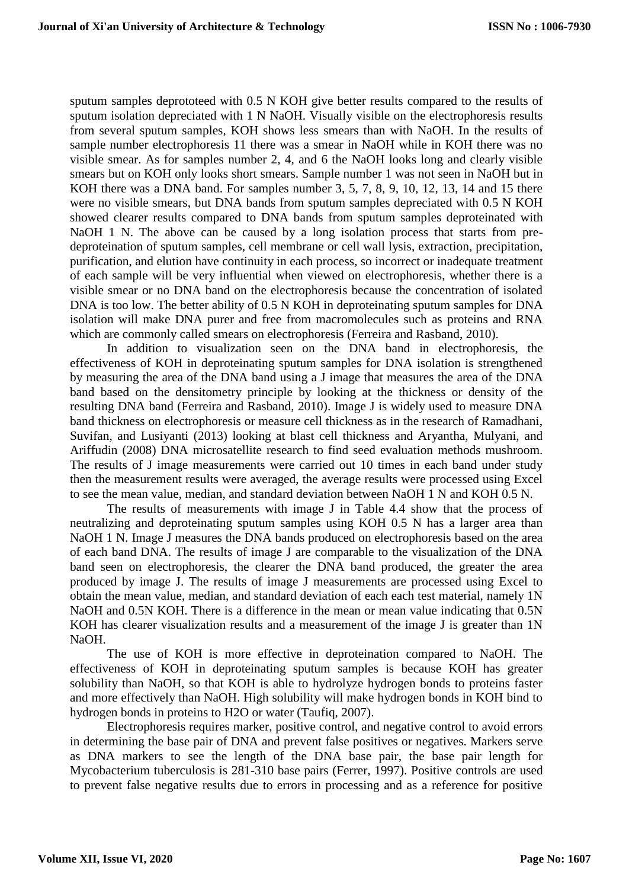sputum samples deprototeed with 0.5 N KOH give better results compared to the results of sputum isolation depreciated with 1 N NaOH. Visually visible on the electrophoresis results from several sputum samples, KOH shows less smears than with NaOH. In the results of sample number electrophoresis 11 there was a smear in NaOH while in KOH there was no visible smear. As for samples number 2, 4, and 6 the NaOH looks long and clearly visible smears but on KOH only looks short smears. Sample number 1 was not seen in NaOH but in KOH there was a DNA band. For samples number 3, 5, 7, 8, 9, 10, 12, 13, 14 and 15 there were no visible smears, but DNA bands from sputum samples depreciated with 0.5 N KOH showed clearer results compared to DNA bands from sputum samples deproteinated with NaOH 1 N. The above can be caused by a long isolation process that starts from predeproteination of sputum samples, cell membrane or cell wall lysis, extraction, precipitation, purification, and elution have continuity in each process, so incorrect or inadequate treatment of each sample will be very influential when viewed on electrophoresis, whether there is a visible smear or no DNA band on the electrophoresis because the concentration of isolated DNA is too low. The better ability of 0.5 N KOH in deproteinating sputum samples for DNA isolation will make DNA purer and free from macromolecules such as proteins and RNA which are commonly called smears on electrophoresis (Ferreira and Rasband, 2010).

In addition to visualization seen on the DNA band in electrophoresis, the effectiveness of KOH in deproteinating sputum samples for DNA isolation is strengthened by measuring the area of the DNA band using a J image that measures the area of the DNA band based on the densitometry principle by looking at the thickness or density of the resulting DNA band (Ferreira and Rasband, 2010). Image J is widely used to measure DNA band thickness on electrophoresis or measure cell thickness as in the research of Ramadhani, Suvifan, and Lusiyanti (2013) looking at blast cell thickness and Aryantha, Mulyani, and Ariffudin (2008) DNA microsatellite research to find seed evaluation methods mushroom. The results of J image measurements were carried out 10 times in each band under study then the measurement results were averaged, the average results were processed using Excel to see the mean value, median, and standard deviation between NaOH 1 N and KOH 0.5 N.

The results of measurements with image J in Table 4.4 show that the process of neutralizing and deproteinating sputum samples using KOH 0.5 N has a larger area than NaOH 1 N. Image J measures the DNA bands produced on electrophoresis based on the area of each band DNA. The results of image J are comparable to the visualization of the DNA band seen on electrophoresis, the clearer the DNA band produced, the greater the area produced by image J. The results of image J measurements are processed using Excel to obtain the mean value, median, and standard deviation of each each test material, namely 1N NaOH and 0.5N KOH. There is a difference in the mean or mean value indicating that 0.5N KOH has clearer visualization results and a measurement of the image J is greater than 1N NaOH.

The use of KOH is more effective in deproteination compared to NaOH. The effectiveness of KOH in deproteinating sputum samples is because KOH has greater solubility than NaOH, so that KOH is able to hydrolyze hydrogen bonds to proteins faster and more effectively than NaOH. High solubility will make hydrogen bonds in KOH bind to hydrogen bonds in proteins to H2O or water (Taufiq, 2007).

Electrophoresis requires marker, positive control, and negative control to avoid errors in determining the base pair of DNA and prevent false positives or negatives. Markers serve as DNA markers to see the length of the DNA base pair, the base pair length for Mycobacterium tuberculosis is 281-310 base pairs (Ferrer, 1997). Positive controls are used to prevent false negative results due to errors in processing and as a reference for positive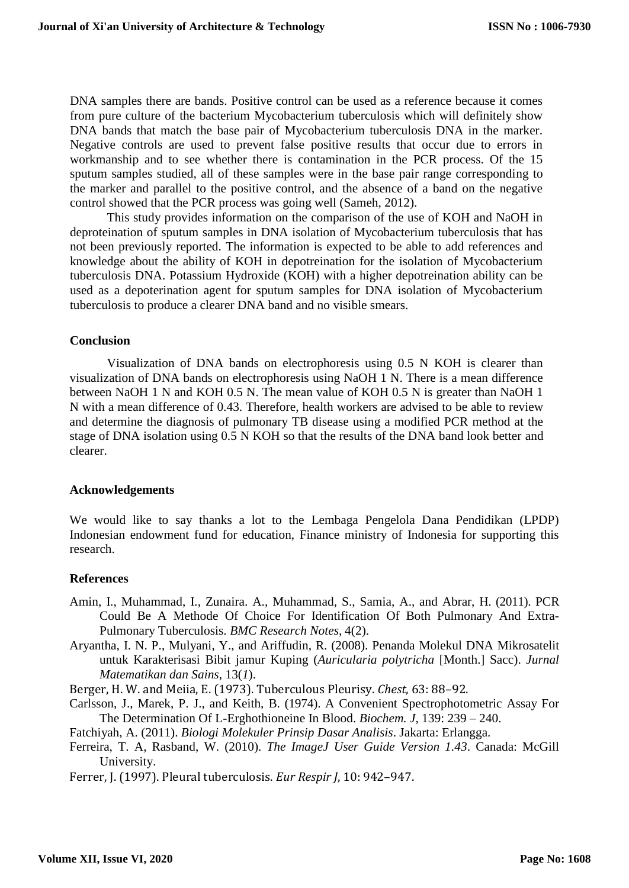DNA samples there are bands. Positive control can be used as a reference because it comes from pure culture of the bacterium Mycobacterium tuberculosis which will definitely show DNA bands that match the base pair of Mycobacterium tuberculosis DNA in the marker. Negative controls are used to prevent false positive results that occur due to errors in workmanship and to see whether there is contamination in the PCR process. Of the 15 sputum samples studied, all of these samples were in the base pair range corresponding to the marker and parallel to the positive control, and the absence of a band on the negative control showed that the PCR process was going well (Sameh, 2012).

This study provides information on the comparison of the use of KOH and NaOH in deproteination of sputum samples in DNA isolation of Mycobacterium tuberculosis that has not been previously reported. The information is expected to be able to add references and knowledge about the ability of KOH in depotreination for the isolation of Mycobacterium tuberculosis DNA. Potassium Hydroxide (KOH) with a higher depotreination ability can be used as a depoterination agent for sputum samples for DNA isolation of Mycobacterium tuberculosis to produce a clearer DNA band and no visible smears.

## **Conclusion**

Visualization of DNA bands on electrophoresis using 0.5 N KOH is clearer than visualization of DNA bands on electrophoresis using NaOH 1 N. There is a mean difference between NaOH 1 N and KOH 0.5 N. The mean value of KOH 0.5 N is greater than NaOH 1 N with a mean difference of 0.43. Therefore, health workers are advised to be able to review and determine the diagnosis of pulmonary TB disease using a modified PCR method at the stage of DNA isolation using 0.5 N KOH so that the results of the DNA band look better and clearer.

## **Acknowledgements**

We would like to say thanks a lot to the Lembaga Pengelola Dana Pendidikan (LPDP) Indonesian endowment fund for education, Finance ministry of Indonesia for supporting this research.

## **References**

- Amin, I., Muhammad, I., Zunaira. A., Muhammad, S., Samia, A., and Abrar, H. (2011). PCR Could Be A Methode Of Choice For Identification Of Both Pulmonary And Extra-Pulmonary Tuberculosis. *BMC Research Notes*, 4(2).
- Aryantha, I. N. P., Mulyani, Y., and Ariffudin, R. (2008). Penanda Molekul DNA Mikrosatelit untuk Karakterisasi Bibit jamur Kuping (*Auricularia polytricha* [Month.] Sacc). *Jurnal Matematikan dan Sains*, 13(*1*).
- Berger, H. W. and Meiia, E. (1973). Tuberculous Pleurisy. *Chest*, 63: 88–92.
- Carlsson, J., Marek, P. J., and Keith, B. (1974). A Convenient Spectrophotometric Assay For The Determination Of L-Erghothioneine In Blood. *Biochem. J*, 139: 239 – 240.
- Fatchiyah, A. (2011). *Biologi Molekuler Prinsip Dasar Analisis*. Jakarta: Erlangga.
- Ferreira, T. A, Rasband, W. (2010). *The ImageJ User Guide Version 1.43*. Canada: McGill University.
- Ferrer, J. (1997). Pleural tuberculosis. *Eur Respir J*, 10: 942–947.